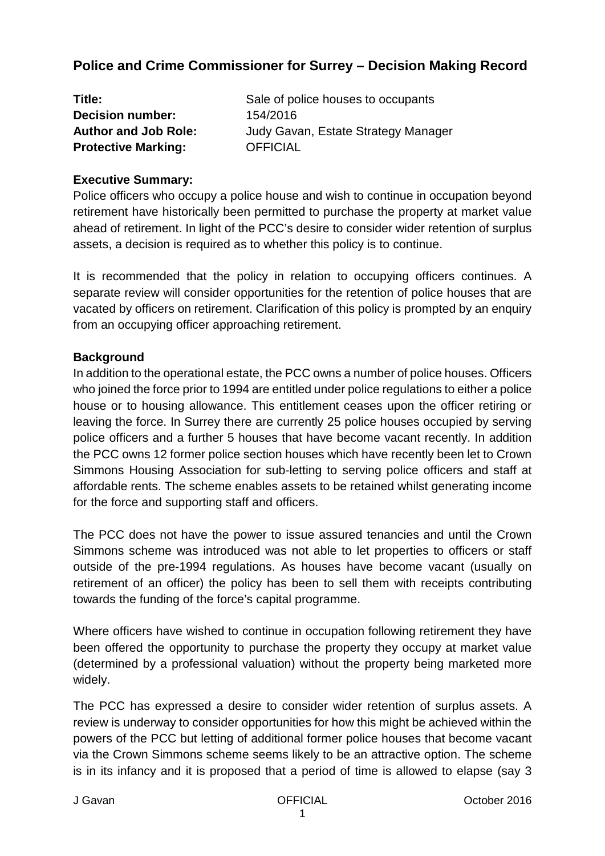# **Police and Crime Commissioner for Surrey – Decision Making Record**

| Title:                      | Sale of police houses to occupants  |
|-----------------------------|-------------------------------------|
| <b>Decision number:</b>     | 154/2016                            |
| <b>Author and Job Role:</b> | Judy Gavan, Estate Strategy Manager |
| <b>Protective Marking:</b>  | <b>OFFICIAL</b>                     |

#### **Executive Summary:**

Police officers who occupy a police house and wish to continue in occupation beyond retirement have historically been permitted to purchase the property at market value ahead of retirement. In light of the PCC's desire to consider wider retention of surplus assets, a decision is required as to whether this policy is to continue.

It is recommended that the policy in relation to occupying officers continues. A separate review will consider opportunities for the retention of police houses that are vacated by officers on retirement. Clarification of this policy is prompted by an enquiry from an occupying officer approaching retirement.

#### **Background**

In addition to the operational estate, the PCC owns a number of police houses. Officers who joined the force prior to 1994 are entitled under police regulations to either a police house or to housing allowance. This entitlement ceases upon the officer retiring or leaving the force. In Surrey there are currently 25 police houses occupied by serving police officers and a further 5 houses that have become vacant recently. In addition the PCC owns 12 former police section houses which have recently been let to Crown Simmons Housing Association for sub-letting to serving police officers and staff at affordable rents. The scheme enables assets to be retained whilst generating income for the force and supporting staff and officers.

The PCC does not have the power to issue assured tenancies and until the Crown Simmons scheme was introduced was not able to let properties to officers or staff outside of the pre-1994 regulations. As houses have become vacant (usually on retirement of an officer) the policy has been to sell them with receipts contributing towards the funding of the force's capital programme.

Where officers have wished to continue in occupation following retirement they have been offered the opportunity to purchase the property they occupy at market value (determined by a professional valuation) without the property being marketed more widely.

The PCC has expressed a desire to consider wider retention of surplus assets. A review is underway to consider opportunities for how this might be achieved within the powers of the PCC but letting of additional former police houses that become vacant via the Crown Simmons scheme seems likely to be an attractive option. The scheme is in its infancy and it is proposed that a period of time is allowed to elapse (say 3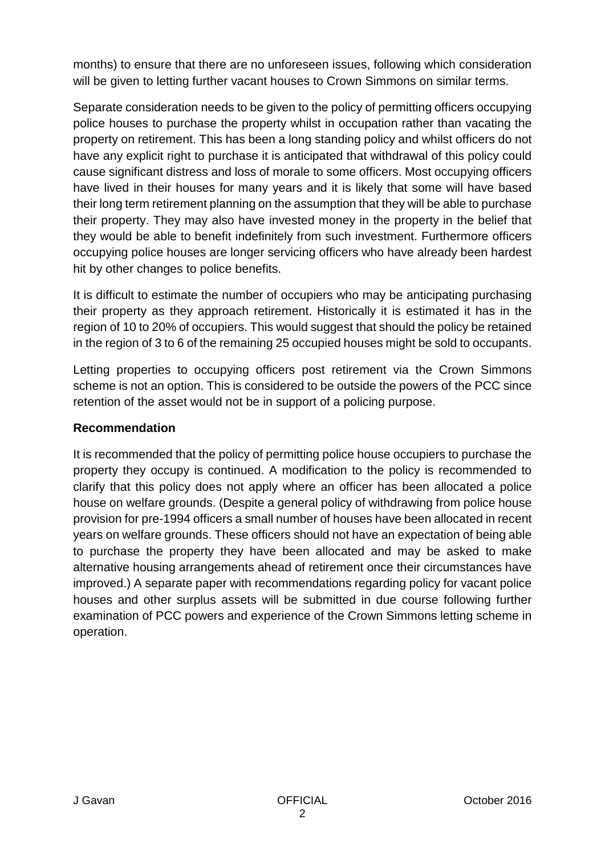months) to ensure that there are no unforeseen issues, following which consideration will be given to letting further vacant houses to Crown Simmons on similar terms.

Separate consideration needs to be given to the policy of permitting officers occupying police houses to purchase the property whilst in occupation rather than vacating the property on retirement. This has been a long standing policy and whilst officers do not have any explicit right to purchase it is anticipated that withdrawal of this policy could cause significant distress and loss of morale to some officers. Most occupying officers have lived in their houses for many years and it is likely that some will have based their long term retirement planning on the assumption that they will be able to purchase their property. They may also have invested money in the property in the belief that they would be able to benefit indefinitely from such investment. Furthermore officers occupying police houses are longer servicing officers who have already been hardest hit by other changes to police benefits.

It is difficult to estimate the number of occupiers who may be anticipating purchasing their property as they approach retirement. Historically it is estimated it has in the region of 10 to 20% of occupiers. This would suggest that should the policy be retained in the region of 3 to 6 of the remaining 25 occupied houses might be sold to occupants.

Letting properties to occupying officers post retirement via the Crown Simmons scheme is not an option. This is considered to be outside the powers of the PCC since retention of the asset would not be in support of a policing purpose.

## **Recommendation**

It is recommended that the policy of permitting police house occupiers to purchase the property they occupy is continued. A modification to the policy is recommended to clarify that this policy does not apply where an officer has been allocated a police house on welfare grounds. (Despite a general policy of withdrawing from police house provision for pre-1994 officers a small number of houses have been allocated in recent years on welfare grounds. These officers should not have an expectation of being able to purchase the property they have been allocated and may be asked to make alternative housing arrangements ahead of retirement once their circumstances have improved.) A separate paper with recommendations regarding policy for vacant police houses and other surplus assets will be submitted in due course following further examination of PCC powers and experience of the Crown Simmons letting scheme in operation.